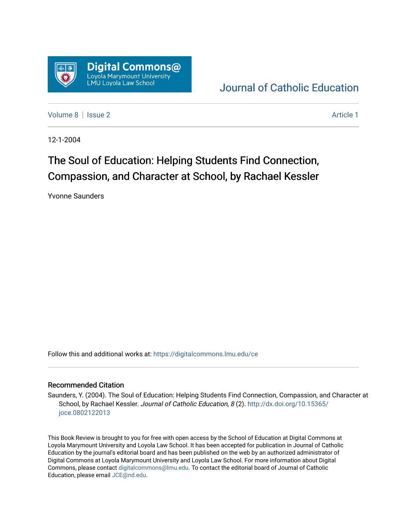

## [Journal of Catholic Education](https://digitalcommons.lmu.edu/ce)

[Volume 8](https://digitalcommons.lmu.edu/ce/vol8) | [Issue 2](https://digitalcommons.lmu.edu/ce/vol8/iss2) Article 1

12-1-2004

## The Soul of Education: Helping Students Find Connection, Compassion, and Character at School, by Rachael Kessler

Yvonne Saunders

Follow this and additional works at: [https://digitalcommons.lmu.edu/ce](https://digitalcommons.lmu.edu/ce?utm_source=digitalcommons.lmu.edu%2Fce%2Fvol8%2Fiss2%2F1&utm_medium=PDF&utm_campaign=PDFCoverPages)

## Recommended Citation

Saunders, Y. (2004). The Soul of Education: Helping Students Find Connection, Compassion, and Character at School, by Rachael Kessler. Journal of Catholic Education, 8(2). [http://dx.doi.org/10.15365/](http://dx.doi.org/10.15365/joce.0802122013) [joce.0802122013](http://dx.doi.org/10.15365/joce.0802122013) 

This Book Review is brought to you for free with open access by the School of Education at Digital Commons at Loyola Marymount University and Loyola Law School. It has been accepted for publication in Journal of Catholic Education by the journal's editorial board and has been published on the web by an authorized administrator of Digital Commons at Loyola Marymount University and Loyola Law School. For more information about Digital Commons, please contact [digitalcommons@lmu.edu.](mailto:digitalcommons@lmu.edu) To contact the editorial board of Journal of Catholic Education, please email [JCE@nd.edu.](mailto:JCE@nd.edu)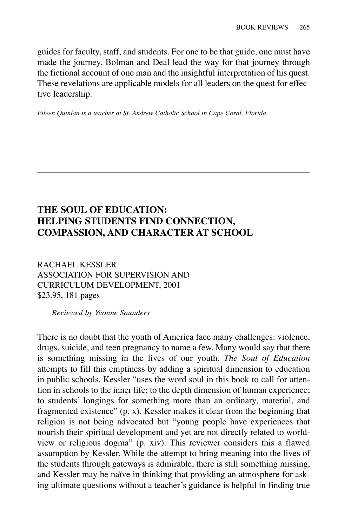guides for faculty, staff, and students. For one to be that guide, one must have made the journey. Bolman and Deal lead the way for that journey through the fictional account of one man and the insightful interpretation of his quest. These revelations are applicable models for all leaders on the quest for effective leadership.

*Eileen Quinlan is a teacher at St. Andrew Catholic School in Cape Coral, Florida.*

## **THE SOUL OF EDUCATION: HELPING STUDENTS FIND CONNECTION, COMPASSION, AND CHARACTER AT SCHOOL**

RACHAEL KESSLER ASSOCIATION FOR SUPERVISION AND CURRICULUM DEVELOPMENT, 2001 \$23.95, 181 pages

*Reviewed by Yvonne Saunders*

There is no doubt that the youth of America face many challenges: violence, drugs, suicide, and teen pregnancy to name a few. Many would say that there is something missing in the lives of our youth. *The Soul of Education* attempts to fill this emptiness by adding a spiritual dimension to education in public schools. Kessler "uses the word soul in this book to call for attention in schools to the inner life; to the depth dimension of human experience; to students' longings for something more than an ordinary, material, and fragmented existence" (p. x). Kessler makes it clear from the beginning that religion is not being advocated but "young people have experiences that nourish their spiritual development and yet are not directly related to worldview or religious dogma" (p. xiv). This reviewer considers this a flawed assumption by Kessler. While the attempt to bring meaning into the lives of the students through gateways is admirable, there is still something missing, and Kessler may be naïve in thinking that providing an atmosphere for asking ultimate questions without a teacher's guidance is helpful in finding true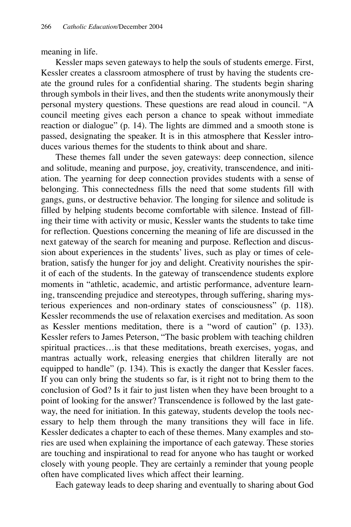meaning in life.

Kessler maps seven gateways to help the souls of students emerge. First, Kessler creates a classroom atmosphere of trust by having the students create the ground rules for a confidential sharing. The students begin sharing through symbols in their lives, and then the students write anonymously their personal mystery questions. These questions are read aloud in council. "A council meeting gives each person a chance to speak without immediate reaction or dialogue" (p. 14). The lights are dimmed and a smooth stone is passed, designating the speaker. It is in this atmosphere that Kessler introduces various themes for the students to think about and share.

These themes fall under the seven gateways: deep connection, silence and solitude, meaning and purpose, joy, creativity, transcendence, and initiation. The yearning for deep connection provides students with a sense of belonging. This connectedness fills the need that some students fill with gangs, guns, or destructive behavior. The longing for silence and solitude is filled by helping students become comfortable with silence. Instead of filling their time with activity or music, Kessler wants the students to take time for reflection. Questions concerning the meaning of life are discussed in the next gateway of the search for meaning and purpose. Reflection and discussion about experiences in the students' lives, such as play or times of celebration, satisfy the hunger for joy and delight. Creativity nourishes the spirit of each of the students. In the gateway of transcendence students explore moments in "athletic, academic, and artistic performance, adventure learning, transcending prejudice and stereotypes, through suffering, sharing mysterious experiences and non-ordinary states of consciousness" (p. 118). Kessler recommends the use of relaxation exercises and meditation. As soon as Kessler mentions meditation, there is a "word of caution" (p. 133). Kessler refers to James Peterson, "The basic problem with teaching children spiritual practices…is that these meditations, breath exercises, yogas, and mantras actually work, releasing energies that children literally are not equipped to handle" (p. 134). This is exactly the danger that Kessler faces. If you can only bring the students so far, is it right not to bring them to the conclusion of God? Is it fair to just listen when they have been brought to a point of looking for the answer? Transcendence is followed by the last gateway, the need for initiation. In this gateway, students develop the tools necessary to help them through the many transitions they will face in life. Kessler dedicates a chapter to each of these themes. Many examples and stories are used when explaining the importance of each gateway. These stories are touching and inspirational to read for anyone who has taught or worked closely with young people. They are certainly a reminder that young people often have complicated lives which affect their learning.

Each gateway leads to deep sharing and eventually to sharing about God